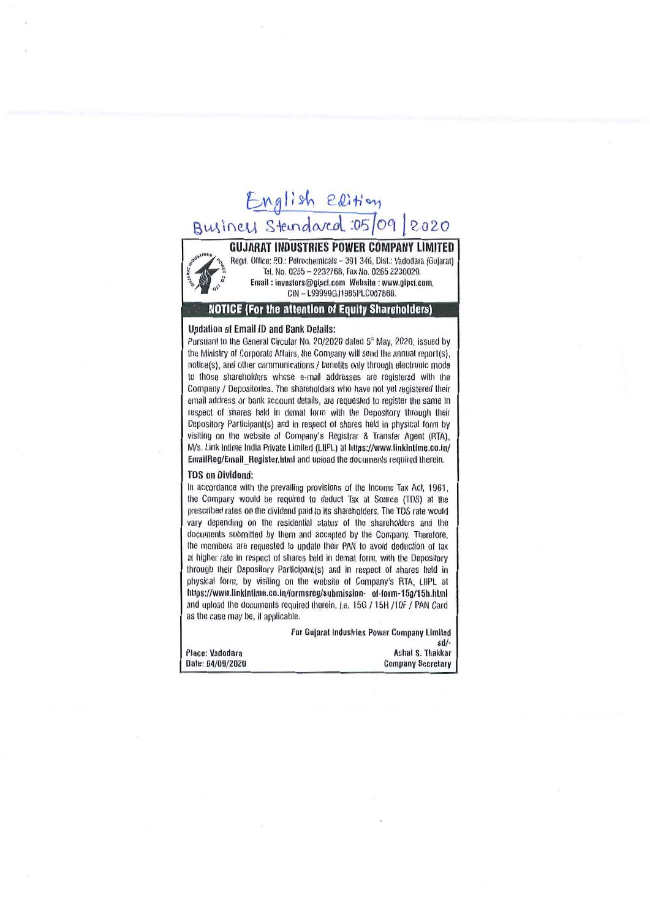# English elition BVIA *\(\l'Jv\* s~ctoJUJl *:05 foci* 1 '2,0 2.0



**GUJARAT INDUSTRIES POWER COMPANY LIMITED**<br>
<sup>@psimite</sup> ^ Regd, Office: P.O.: Petrochemicals - 391 346, Dist.: Vadodara (Gujarat) Regd. Office: P.O.: Petrochemicals - 391 346, Dist.: Vadodara (Gujarat)<br>Tel. No. 0265 - 2232768, Fax No. 0265 2230029.  $\n Email: investors@gipcl.com \n Website: www.gipcl.com \n$ CIN - L99999GJ1985PLC007868.

# **. NOTICE (for the attention of Equity Shareholders)**

#### Updation of Email ID and Bank Details:

Pursuant to the General Circular No. 20/2020 dated 5<sup>th</sup> May, 2020, issued by Ihe Minislry of Corporate Affairs, the Company will send Ihe annual report(s), notice(s), and other communications / benefits only through electronic mode to those shareholders whose e-mail addresses are registered wilh the Company / Depositories, The shareholders who have not yel registered Iheir email address or bank account details, are requested to register the same in respect of shares held in demat lorm with the Depository through Iheir Depository Partlcipanl(s) and in respect of shares held in physical form by visiting on the websile 01 Company's Registrar & Transfer Agent (RTA), M/s. Link Intime India Private Limited (LIIPL) at https://www.linkintime.co.in/ EmaiIReg/Emall\_Reglsler.hlml and upload the documents required therein,

### **TDS on Dividend:**

In accordance with the prevailing provisions of the Income Tax Act, 1961, the Company would be required to deduct Tax at Source (TDS) at the prescribed rates on the dividend paid to its shareholders, The TDS rate would vary depending on the residential status of the shareholders and the documents submitted by them and accepted by the Company. Therefore, the members are requested to update their PAN to avoid deduction of tax at higher rate in respect of shares held in demat form, with the Depository through their Depository Participant(s) and in respect of shares held in physical form, by visiting on the website of Company's RTA, LIIPL at https://www.linkintime.co.in/formsreg/submission- of-form-15g/15h.html and upload the documents required therein, i.e. 15G / 15H /10F / PAN Card as the case may be, if applicable.

For Gujarat Industries Power Company Limite Place: Vadodara Achal S. Thakkara Achal S. Thakkara Achal S. Thakkara Achal S. Thakkara Achal S. Thakkara Achal S. Thakkara Achal S. Thakkara Achal S. Thakkara Achal S. Thakkara Achal S. Thakkara Achal S. Thakkara Achal S. Date: 04/09/2020 Company SeDretary